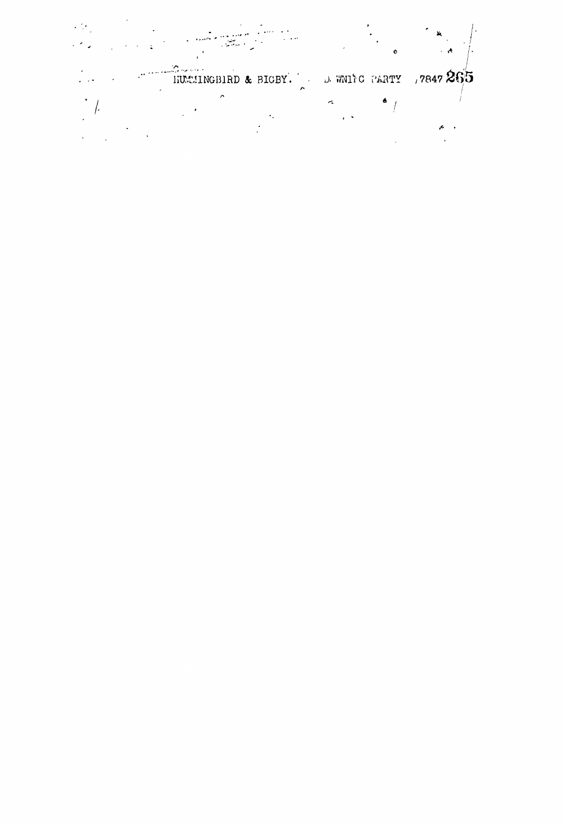an<br>Maria A e e companya a companya a companya a companya a companya a companya a companya a companya a companya a company<br>A companya a companya a companya a companya a companya a companya a companya a companya a companya a companya  $\circ$  $\frac{1}{2}$  $\ddot{\cdot}$  $\mathcal{A}$ HUMINGBIRD & BIGBY. D. WNING PARTY , 7847 265  $\frac{1}{2} \frac{1}{2} \frac{1}{2} \frac{1}{2} \frac{1}{2} \frac{1}{2} \frac{1}{2} \frac{1}{2} \frac{1}{2} \frac{1}{2} \frac{1}{2} \frac{1}{2} \frac{1}{2} \frac{1}{2} \frac{1}{2} \frac{1}{2} \frac{1}{2} \frac{1}{2} \frac{1}{2} \frac{1}{2} \frac{1}{2} \frac{1}{2} \frac{1}{2} \frac{1}{2} \frac{1}{2} \frac{1}{2} \frac{1}{2} \frac{1}{2} \frac{1}{2} \frac{1}{2} \frac{1}{2} \frac{$  $\frac{1}{\sqrt{2}}$  $\frac{1}{2}$  $\frac{1}{2}$  .  $\hat{\mathcal{A}}$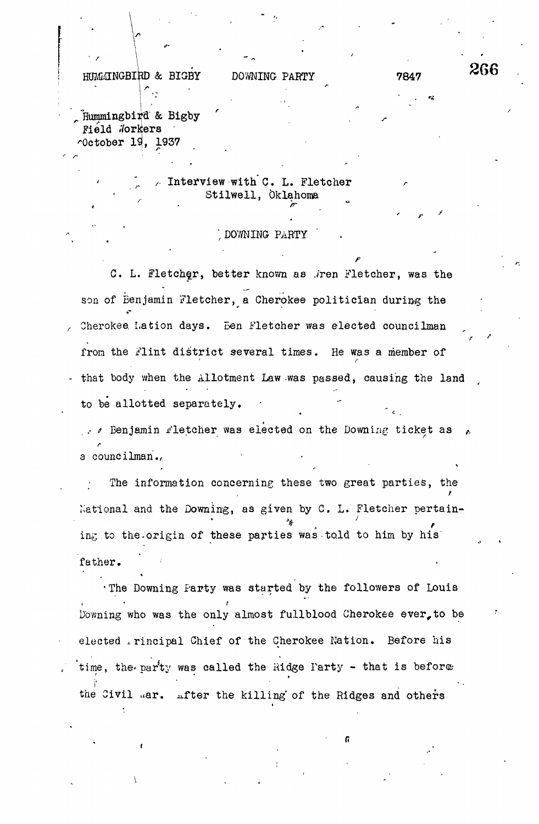$H$ UMMINGBIRD & BIGBY DOWNING PARTY 7847 266

**f**

Hummingbird & Bigby Field Workers  $\sim$ October 19, 1937

## $\sim$  Interview with C. L. Fletcher Stilwell, Oklahoma

## DOWNING PARTY  $\mathcal{L}$  , Download Party (

 $\mathbf{r}_\parallel$ 

f

C. L. Fletcher, better known as ,/ren Fletcher, was the son of Benjamin Fletcher, a Cherokee politician during the Cherokee, Lation days. Ben Fletcher was elected councilman fron the Flint district several times. He was a member of that body when the Allotment Law was passed, causing the land to be allotted separately.

 $\ldots$  . Benjamin Fletcher was elected on the Downing ticket as a councilman.

The information concerning these two great parties, the National and the Downing, as given by C. L. Fletcher pertaining to the origin of these parties was told to him by his ing to the origin of the-origin of the-origin of the-origin of the-origin of the-origin of the-origin of the-

. The Downing Farty was started by the followers of Louis Downing who was the only almost fullblood Cherokee ever, to be Downing who was the only almost fullblood Cherokee ever,to be elected xrincipal Chief of the Cherokee Nation. Before his time, the-parity was called the-parity was called the Ridge Party  $\mathcal{L}$ the Civil war. after the killing of the Ridges and others

the Civil , are civil , and other the killing' of the  $\kappa$  the  $\kappa$  the Ridges and others and others and others and others and others and others and others and others and others and